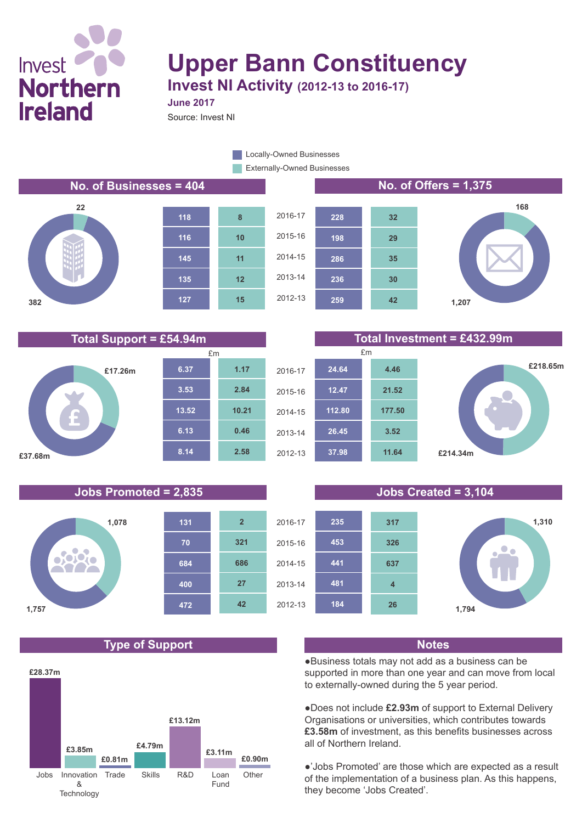## Invest **Northern Ireland**

# **Upper Bann Constituency**

**Invest NI Activity (2012-13 to 2016-17) June 2017**

Source: Invest NI

Externally-Owned Businesses **Locally-Owned Businesses** 











**Total Support = £54.94m Total Investment = £432.99m**



### **Jobs Promoted = 2,835 Jobs Created = 3,104**



## **Type of Support Notes**







●Business totals may not add as a business can be supported in more than one year and can move from local to externally-owned during the 5 year period.

●Does not include **£2.93m** of support to External Delivery Organisations or universities, which contributes towards **£3.58m** of investment, as this benefits businesses across all of Northern Ireland.

●'Jobs Promoted' are those which are expected as a result of the implementation of a business plan. As this happens, they become 'Jobs Created'.